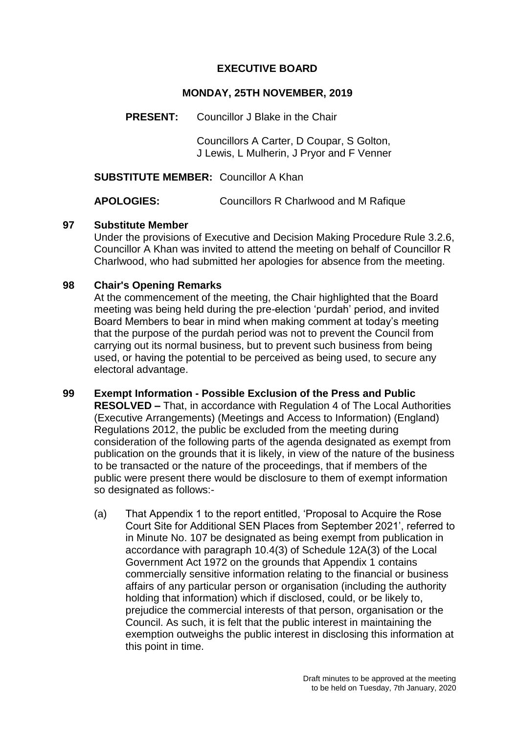## **EXECUTIVE BOARD**

## **MONDAY, 25TH NOVEMBER, 2019**

**PRESENT:** Councillor J Blake in the Chair

Councillors A Carter, D Coupar, S Golton, J Lewis, L Mulherin, J Pryor and F Venner

**SUBSTITUTE MEMBER:** Councillor A Khan

**APOLOGIES:** Councillors R Charlwood and M Rafique

## **97 Substitute Member**

Under the provisions of Executive and Decision Making Procedure Rule 3.2.6, Councillor A Khan was invited to attend the meeting on behalf of Councillor R Charlwood, who had submitted her apologies for absence from the meeting.

## **98 Chair's Opening Remarks**

At the commencement of the meeting, the Chair highlighted that the Board meeting was being held during the pre-election 'purdah' period, and invited Board Members to bear in mind when making comment at today's meeting that the purpose of the purdah period was not to prevent the Council from carrying out its normal business, but to prevent such business from being used, or having the potential to be perceived as being used, to secure any electoral advantage.

- **99 Exempt Information - Possible Exclusion of the Press and Public RESOLVED –** That, in accordance with Regulation 4 of The Local Authorities (Executive Arrangements) (Meetings and Access to Information) (England) Regulations 2012, the public be excluded from the meeting during consideration of the following parts of the agenda designated as exempt from publication on the grounds that it is likely, in view of the nature of the business to be transacted or the nature of the proceedings, that if members of the public were present there would be disclosure to them of exempt information so designated as follows:-
	- (a) That Appendix 1 to the report entitled, 'Proposal to Acquire the Rose Court Site for Additional SEN Places from September 2021', referred to in Minute No. 107 be designated as being exempt from publication in accordance with paragraph 10.4(3) of Schedule 12A(3) of the Local Government Act 1972 on the grounds that Appendix 1 contains commercially sensitive information relating to the financial or business affairs of any particular person or organisation (including the authority holding that information) which if disclosed, could, or be likely to, prejudice the commercial interests of that person, organisation or the Council. As such, it is felt that the public interest in maintaining the exemption outweighs the public interest in disclosing this information at this point in time.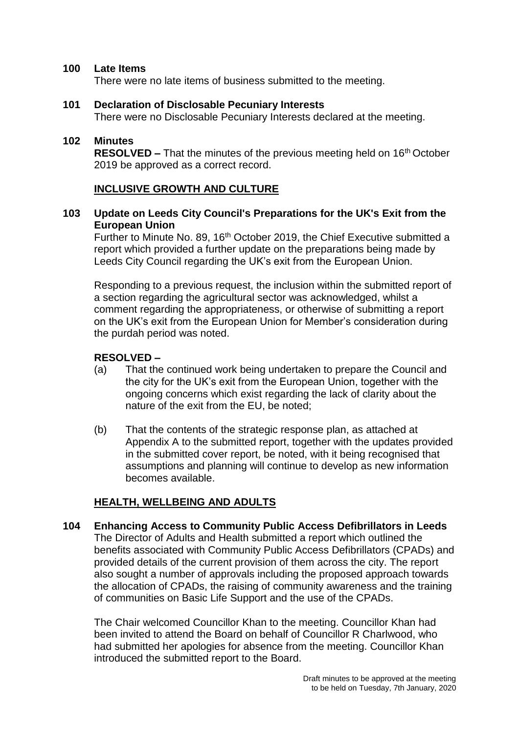#### **100 Late Items**

There were no late items of business submitted to the meeting.

#### **101 Declaration of Disclosable Pecuniary Interests**

There were no Disclosable Pecuniary Interests declared at the meeting.

#### **102 Minutes**

**RESOLVED –** That the minutes of the previous meeting held on 16<sup>th</sup> October 2019 be approved as a correct record.

#### **INCLUSIVE GROWTH AND CULTURE**

#### **103 Update on Leeds City Council's Preparations for the UK's Exit from the European Union**

Further to Minute No. 89, 16<sup>th</sup> October 2019, the Chief Executive submitted a report which provided a further update on the preparations being made by Leeds City Council regarding the UK's exit from the European Union.

Responding to a previous request, the inclusion within the submitted report of a section regarding the agricultural sector was acknowledged, whilst a comment regarding the appropriateness, or otherwise of submitting a report on the UK's exit from the European Union for Member's consideration during the purdah period was noted.

## **RESOLVED –**

- (a) That the continued work being undertaken to prepare the Council and the city for the UK's exit from the European Union, together with the ongoing concerns which exist regarding the lack of clarity about the nature of the exit from the EU, be noted;
- (b) That the contents of the strategic response plan, as attached at Appendix A to the submitted report, together with the updates provided in the submitted cover report, be noted, with it being recognised that assumptions and planning will continue to develop as new information becomes available.

## **HEALTH, WELLBEING AND ADULTS**

**104 Enhancing Access to Community Public Access Defibrillators in Leeds** The Director of Adults and Health submitted a report which outlined the benefits associated with Community Public Access Defibrillators (CPADs) and provided details of the current provision of them across the city. The report also sought a number of approvals including the proposed approach towards the allocation of CPADs, the raising of community awareness and the training of communities on Basic Life Support and the use of the CPADs.

The Chair welcomed Councillor Khan to the meeting. Councillor Khan had been invited to attend the Board on behalf of Councillor R Charlwood, who had submitted her apologies for absence from the meeting. Councillor Khan introduced the submitted report to the Board.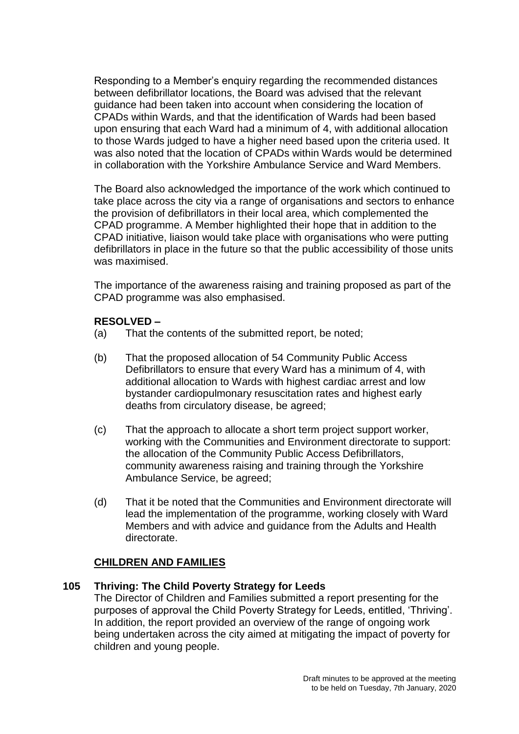Responding to a Member's enquiry regarding the recommended distances between defibrillator locations, the Board was advised that the relevant guidance had been taken into account when considering the location of CPADs within Wards, and that the identification of Wards had been based upon ensuring that each Ward had a minimum of 4, with additional allocation to those Wards judged to have a higher need based upon the criteria used. It was also noted that the location of CPADs within Wards would be determined in collaboration with the Yorkshire Ambulance Service and Ward Members.

The Board also acknowledged the importance of the work which continued to take place across the city via a range of organisations and sectors to enhance the provision of defibrillators in their local area, which complemented the CPAD programme. A Member highlighted their hope that in addition to the CPAD initiative, liaison would take place with organisations who were putting defibrillators in place in the future so that the public accessibility of those units was maximised.

The importance of the awareness raising and training proposed as part of the CPAD programme was also emphasised.

## **RESOLVED –**

- (a) That the contents of the submitted report, be noted;
- (b) That the proposed allocation of 54 Community Public Access Defibrillators to ensure that every Ward has a minimum of 4, with additional allocation to Wards with highest cardiac arrest and low bystander cardiopulmonary resuscitation rates and highest early deaths from circulatory disease, be agreed;
- (c) That the approach to allocate a short term project support worker, working with the Communities and Environment directorate to support: the allocation of the Community Public Access Defibrillators, community awareness raising and training through the Yorkshire Ambulance Service, be agreed;
- (d) That it be noted that the Communities and Environment directorate will lead the implementation of the programme, working closely with Ward Members and with advice and guidance from the Adults and Health directorate.

# **CHILDREN AND FAMILIES**

## **105 Thriving: The Child Poverty Strategy for Leeds**

The Director of Children and Families submitted a report presenting for the purposes of approval the Child Poverty Strategy for Leeds, entitled, 'Thriving'. In addition, the report provided an overview of the range of ongoing work being undertaken across the city aimed at mitigating the impact of poverty for children and young people.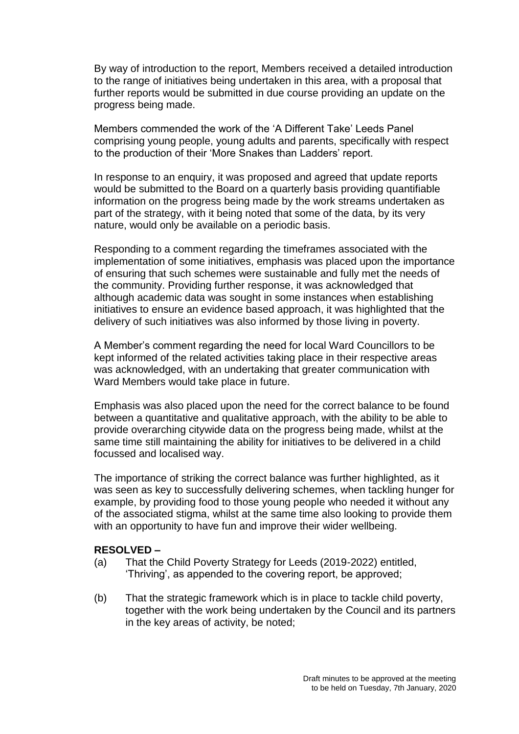By way of introduction to the report, Members received a detailed introduction to the range of initiatives being undertaken in this area, with a proposal that further reports would be submitted in due course providing an update on the progress being made.

Members commended the work of the 'A Different Take' Leeds Panel comprising young people, young adults and parents, specifically with respect to the production of their 'More Snakes than Ladders' report.

In response to an enquiry, it was proposed and agreed that update reports would be submitted to the Board on a quarterly basis providing quantifiable information on the progress being made by the work streams undertaken as part of the strategy, with it being noted that some of the data, by its very nature, would only be available on a periodic basis.

Responding to a comment regarding the timeframes associated with the implementation of some initiatives, emphasis was placed upon the importance of ensuring that such schemes were sustainable and fully met the needs of the community. Providing further response, it was acknowledged that although academic data was sought in some instances when establishing initiatives to ensure an evidence based approach, it was highlighted that the delivery of such initiatives was also informed by those living in poverty.

A Member's comment regarding the need for local Ward Councillors to be kept informed of the related activities taking place in their respective areas was acknowledged, with an undertaking that greater communication with Ward Members would take place in future.

Emphasis was also placed upon the need for the correct balance to be found between a quantitative and qualitative approach, with the ability to be able to provide overarching citywide data on the progress being made, whilst at the same time still maintaining the ability for initiatives to be delivered in a child focussed and localised way.

The importance of striking the correct balance was further highlighted, as it was seen as key to successfully delivering schemes, when tackling hunger for example, by providing food to those young people who needed it without any of the associated stigma, whilst at the same time also looking to provide them with an opportunity to have fun and improve their wider wellbeing.

- (a) That the Child Poverty Strategy for Leeds (2019-2022) entitled, 'Thriving', as appended to the covering report, be approved;
- (b) That the strategic framework which is in place to tackle child poverty, together with the work being undertaken by the Council and its partners in the key areas of activity, be noted;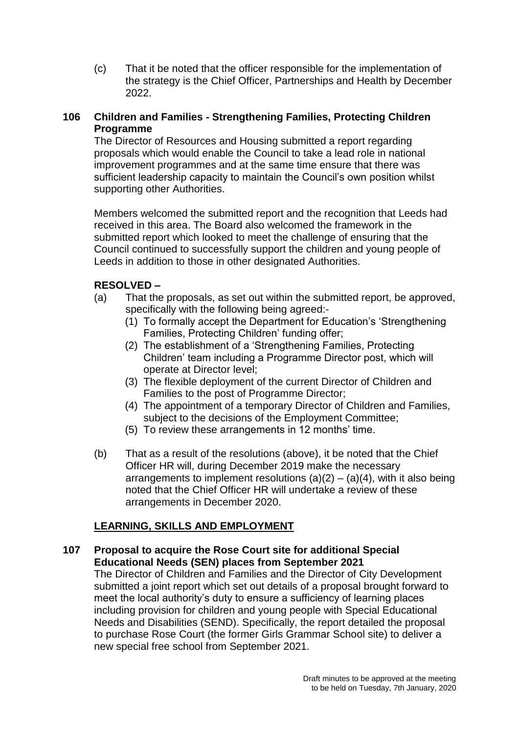(c) That it be noted that the officer responsible for the implementation of the strategy is the Chief Officer, Partnerships and Health by December 2022.

# **106 Children and Families - Strengthening Families, Protecting Children Programme**

The Director of Resources and Housing submitted a report regarding proposals which would enable the Council to take a lead role in national improvement programmes and at the same time ensure that there was sufficient leadership capacity to maintain the Council's own position whilst supporting other Authorities.

Members welcomed the submitted report and the recognition that Leeds had received in this area. The Board also welcomed the framework in the submitted report which looked to meet the challenge of ensuring that the Council continued to successfully support the children and young people of Leeds in addition to those in other designated Authorities.

# **RESOLVED –**

- (a) That the proposals, as set out within the submitted report, be approved, specifically with the following being agreed:-
	- (1) To formally accept the Department for Education's 'Strengthening Families, Protecting Children' funding offer;
	- (2) The establishment of a 'Strengthening Families, Protecting Children' team including a Programme Director post, which will operate at Director level;
	- (3) The flexible deployment of the current Director of Children and Families to the post of Programme Director;
	- (4) The appointment of a temporary Director of Children and Families, subject to the decisions of the Employment Committee;
	- (5) To review these arrangements in 12 months' time.
- (b) That as a result of the resolutions (above), it be noted that the Chief Officer HR will, during December 2019 make the necessary arrangements to implement resolutions  $(a)(2) - (a)(4)$ , with it also being noted that the Chief Officer HR will undertake a review of these arrangements in December 2020.

# **LEARNING, SKILLS AND EMPLOYMENT**

# **107 Proposal to acquire the Rose Court site for additional Special Educational Needs (SEN) places from September 2021**

The Director of Children and Families and the Director of City Development submitted a joint report which set out details of a proposal brought forward to meet the local authority's duty to ensure a sufficiency of learning places including provision for children and young people with Special Educational Needs and Disabilities (SEND). Specifically, the report detailed the proposal to purchase Rose Court (the former Girls Grammar School site) to deliver a new special free school from September 2021.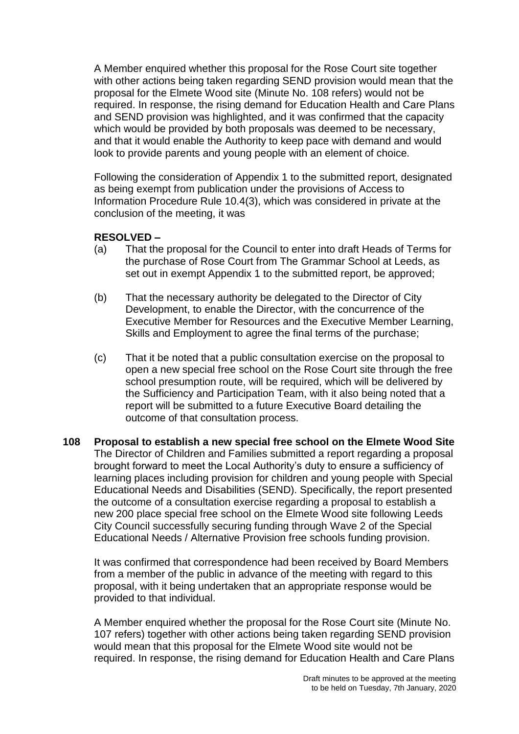A Member enquired whether this proposal for the Rose Court site together with other actions being taken regarding SEND provision would mean that the proposal for the Elmete Wood site (Minute No. 108 refers) would not be required. In response, the rising demand for Education Health and Care Plans and SEND provision was highlighted, and it was confirmed that the capacity which would be provided by both proposals was deemed to be necessary, and that it would enable the Authority to keep pace with demand and would look to provide parents and young people with an element of choice.

Following the consideration of Appendix 1 to the submitted report, designated as being exempt from publication under the provisions of Access to Information Procedure Rule 10.4(3), which was considered in private at the conclusion of the meeting, it was

## **RESOLVED –**

- (a) That the proposal for the Council to enter into draft Heads of Terms for the purchase of Rose Court from The Grammar School at Leeds, as set out in exempt Appendix 1 to the submitted report, be approved;
- (b) That the necessary authority be delegated to the Director of City Development, to enable the Director, with the concurrence of the Executive Member for Resources and the Executive Member Learning, Skills and Employment to agree the final terms of the purchase;
- (c) That it be noted that a public consultation exercise on the proposal to open a new special free school on the Rose Court site through the free school presumption route, will be required, which will be delivered by the Sufficiency and Participation Team, with it also being noted that a report will be submitted to a future Executive Board detailing the outcome of that consultation process.
- **108 Proposal to establish a new special free school on the Elmete Wood Site** The Director of Children and Families submitted a report regarding a proposal brought forward to meet the Local Authority's duty to ensure a sufficiency of learning places including provision for children and young people with Special Educational Needs and Disabilities (SEND). Specifically, the report presented the outcome of a consultation exercise regarding a proposal to establish a new 200 place special free school on the Elmete Wood site following Leeds City Council successfully securing funding through Wave 2 of the Special Educational Needs / Alternative Provision free schools funding provision.

It was confirmed that correspondence had been received by Board Members from a member of the public in advance of the meeting with regard to this proposal, with it being undertaken that an appropriate response would be provided to that individual.

A Member enquired whether the proposal for the Rose Court site (Minute No. 107 refers) together with other actions being taken regarding SEND provision would mean that this proposal for the Elmete Wood site would not be required. In response, the rising demand for Education Health and Care Plans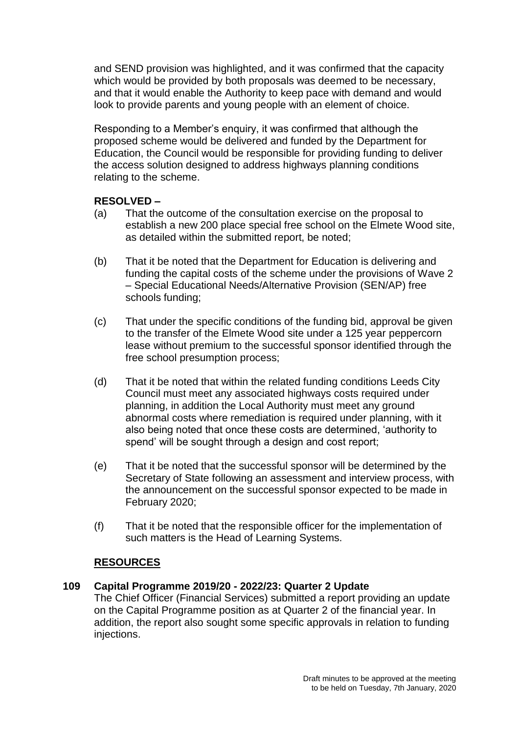and SEND provision was highlighted, and it was confirmed that the capacity which would be provided by both proposals was deemed to be necessary, and that it would enable the Authority to keep pace with demand and would look to provide parents and young people with an element of choice.

Responding to a Member's enquiry, it was confirmed that although the proposed scheme would be delivered and funded by the Department for Education, the Council would be responsible for providing funding to deliver the access solution designed to address highways planning conditions relating to the scheme.

## **RESOLVED –**

- (a) That the outcome of the consultation exercise on the proposal to establish a new 200 place special free school on the Elmete Wood site, as detailed within the submitted report, be noted;
- (b) That it be noted that the Department for Education is delivering and funding the capital costs of the scheme under the provisions of Wave 2 – Special Educational Needs/Alternative Provision (SEN/AP) free schools funding;
- (c) That under the specific conditions of the funding bid, approval be given to the transfer of the Elmete Wood site under a 125 year peppercorn lease without premium to the successful sponsor identified through the free school presumption process;
- (d) That it be noted that within the related funding conditions Leeds City Council must meet any associated highways costs required under planning, in addition the Local Authority must meet any ground abnormal costs where remediation is required under planning, with it also being noted that once these costs are determined, 'authority to spend' will be sought through a design and cost report;
- (e) That it be noted that the successful sponsor will be determined by the Secretary of State following an assessment and interview process, with the announcement on the successful sponsor expected to be made in February 2020;
- (f) That it be noted that the responsible officer for the implementation of such matters is the Head of Learning Systems.

## **RESOURCES**

## **109 Capital Programme 2019/20 - 2022/23: Quarter 2 Update**

The Chief Officer (Financial Services) submitted a report providing an update on the Capital Programme position as at Quarter 2 of the financial year. In addition, the report also sought some specific approvals in relation to funding injections.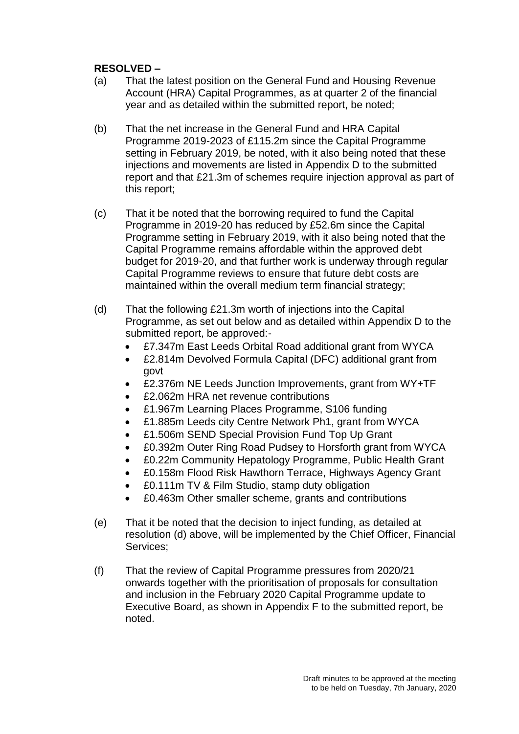- (a) That the latest position on the General Fund and Housing Revenue Account (HRA) Capital Programmes, as at quarter 2 of the financial year and as detailed within the submitted report, be noted;
- (b) That the net increase in the General Fund and HRA Capital Programme 2019-2023 of £115.2m since the Capital Programme setting in February 2019, be noted, with it also being noted that these injections and movements are listed in Appendix D to the submitted report and that £21.3m of schemes require injection approval as part of this report;
- (c) That it be noted that the borrowing required to fund the Capital Programme in 2019-20 has reduced by £52.6m since the Capital Programme setting in February 2019, with it also being noted that the Capital Programme remains affordable within the approved debt budget for 2019-20, and that further work is underway through regular Capital Programme reviews to ensure that future debt costs are maintained within the overall medium term financial strategy;
- (d) That the following £21.3m worth of injections into the Capital Programme, as set out below and as detailed within Appendix D to the submitted report, be approved:-
	- £7.347m East Leeds Orbital Road additional grant from WYCA
	- £2.814m Devolved Formula Capital (DFC) additional grant from govt
	- £2.376m NE Leeds Junction Improvements, grant from WY+TF
	- £2.062m HRA net revenue contributions
	- £1.967m Learning Places Programme, S106 funding
	- £1.885m Leeds city Centre Network Ph1, grant from WYCA
	- £1.506m SEND Special Provision Fund Top Up Grant
	- £0.392m Outer Ring Road Pudsey to Horsforth grant from WYCA
	- £0.22m Community Hepatology Programme, Public Health Grant
	- £0.158m Flood Risk Hawthorn Terrace, Highways Agency Grant
	- £0.111m TV & Film Studio, stamp duty obligation
	- £0.463m Other smaller scheme, grants and contributions
- (e) That it be noted that the decision to inject funding, as detailed at resolution (d) above, will be implemented by the Chief Officer, Financial Services;
- (f) That the review of Capital Programme pressures from 2020/21 onwards together with the prioritisation of proposals for consultation and inclusion in the February 2020 Capital Programme update to Executive Board, as shown in Appendix F to the submitted report, be noted.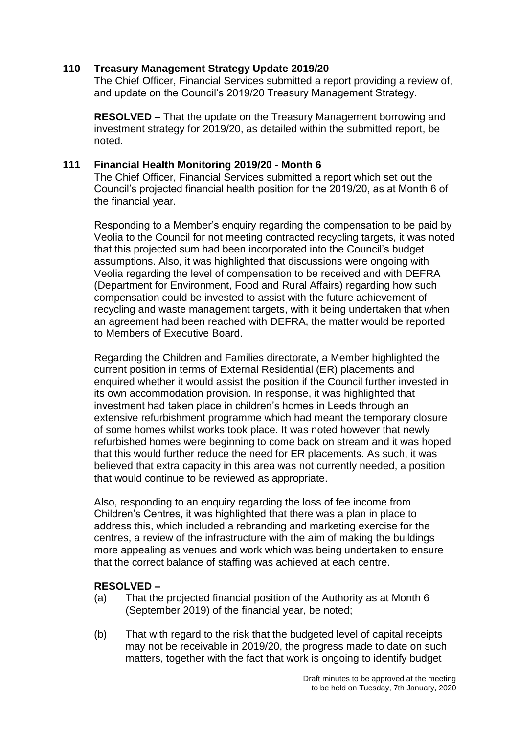## **110 Treasury Management Strategy Update 2019/20**

The Chief Officer, Financial Services submitted a report providing a review of, and update on the Council's 2019/20 Treasury Management Strategy.

**RESOLVED –** That the update on the Treasury Management borrowing and investment strategy for 2019/20, as detailed within the submitted report, be noted.

## **111 Financial Health Monitoring 2019/20 - Month 6**

The Chief Officer, Financial Services submitted a report which set out the Council's projected financial health position for the 2019/20, as at Month 6 of the financial year.

Responding to a Member's enquiry regarding the compensation to be paid by Veolia to the Council for not meeting contracted recycling targets, it was noted that this projected sum had been incorporated into the Council's budget assumptions. Also, it was highlighted that discussions were ongoing with Veolia regarding the level of compensation to be received and with DEFRA (Department for Environment, Food and Rural Affairs) regarding how such compensation could be invested to assist with the future achievement of recycling and waste management targets, with it being undertaken that when an agreement had been reached with DEFRA, the matter would be reported to Members of Executive Board.

Regarding the Children and Families directorate, a Member highlighted the current position in terms of External Residential (ER) placements and enquired whether it would assist the position if the Council further invested in its own accommodation provision. In response, it was highlighted that investment had taken place in children's homes in Leeds through an extensive refurbishment programme which had meant the temporary closure of some homes whilst works took place. It was noted however that newly refurbished homes were beginning to come back on stream and it was hoped that this would further reduce the need for ER placements. As such, it was believed that extra capacity in this area was not currently needed, a position that would continue to be reviewed as appropriate.

Also, responding to an enquiry regarding the loss of fee income from Children's Centres, it was highlighted that there was a plan in place to address this, which included a rebranding and marketing exercise for the centres, a review of the infrastructure with the aim of making the buildings more appealing as venues and work which was being undertaken to ensure that the correct balance of staffing was achieved at each centre.

- (a) That the projected financial position of the Authority as at Month 6 (September 2019) of the financial year, be noted;
- (b) That with regard to the risk that the budgeted level of capital receipts may not be receivable in 2019/20, the progress made to date on such matters, together with the fact that work is ongoing to identify budget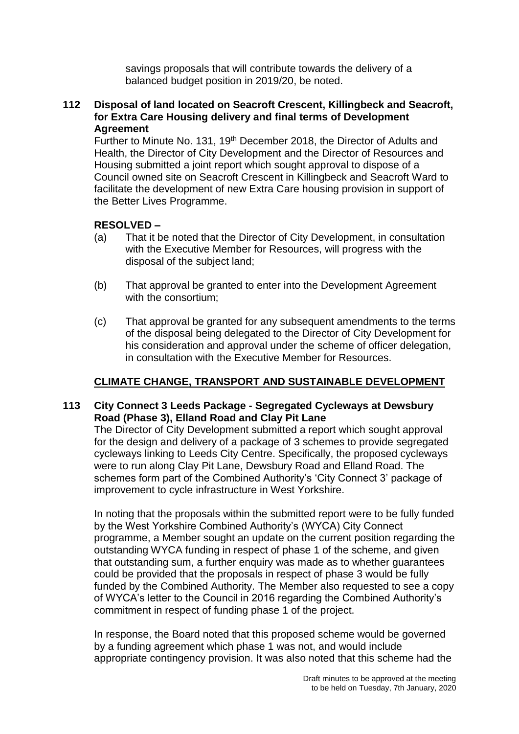savings proposals that will contribute towards the delivery of a balanced budget position in 2019/20, be noted.

## **112 Disposal of land located on Seacroft Crescent, Killingbeck and Seacroft, for Extra Care Housing delivery and final terms of Development Agreement**

Further to Minute No. 131, 19th December 2018, the Director of Adults and Health, the Director of City Development and the Director of Resources and Housing submitted a joint report which sought approval to dispose of a Council owned site on Seacroft Crescent in Killingbeck and Seacroft Ward to facilitate the development of new Extra Care housing provision in support of the Better Lives Programme.

# **RESOLVED –**

- (a) That it be noted that the Director of City Development, in consultation with the Executive Member for Resources, will progress with the disposal of the subject land;
- (b) That approval be granted to enter into the Development Agreement with the consortium;
- (c) That approval be granted for any subsequent amendments to the terms of the disposal being delegated to the Director of City Development for his consideration and approval under the scheme of officer delegation, in consultation with the Executive Member for Resources.

# **CLIMATE CHANGE, TRANSPORT AND SUSTAINABLE DEVELOPMENT**

## **113 City Connect 3 Leeds Package - Segregated Cycleways at Dewsbury Road (Phase 3), Elland Road and Clay Pit Lane**

The Director of City Development submitted a report which sought approval for the design and delivery of a package of 3 schemes to provide segregated cycleways linking to Leeds City Centre. Specifically, the proposed cycleways were to run along Clay Pit Lane, Dewsbury Road and Elland Road. The schemes form part of the Combined Authority's 'City Connect 3' package of improvement to cycle infrastructure in West Yorkshire.

In noting that the proposals within the submitted report were to be fully funded by the West Yorkshire Combined Authority's (WYCA) City Connect programme, a Member sought an update on the current position regarding the outstanding WYCA funding in respect of phase 1 of the scheme, and given that outstanding sum, a further enquiry was made as to whether guarantees could be provided that the proposals in respect of phase 3 would be fully funded by the Combined Authority. The Member also requested to see a copy of WYCA's letter to the Council in 2016 regarding the Combined Authority's commitment in respect of funding phase 1 of the project.

In response, the Board noted that this proposed scheme would be governed by a funding agreement which phase 1 was not, and would include appropriate contingency provision. It was also noted that this scheme had the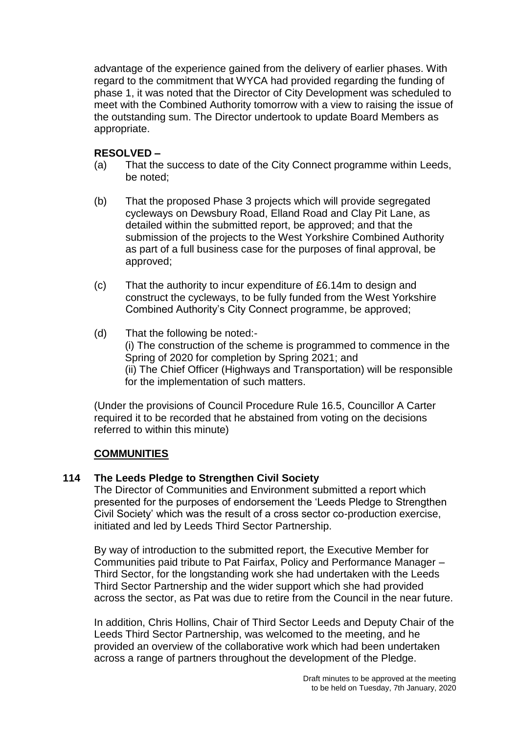advantage of the experience gained from the delivery of earlier phases. With regard to the commitment that WYCA had provided regarding the funding of phase 1, it was noted that the Director of City Development was scheduled to meet with the Combined Authority tomorrow with a view to raising the issue of the outstanding sum. The Director undertook to update Board Members as appropriate.

## **RESOLVED –**

- (a) That the success to date of the City Connect programme within Leeds, be noted;
- (b) That the proposed Phase 3 projects which will provide segregated cycleways on Dewsbury Road, Elland Road and Clay Pit Lane, as detailed within the submitted report, be approved; and that the submission of the projects to the West Yorkshire Combined Authority as part of a full business case for the purposes of final approval, be approved;
- (c) That the authority to incur expenditure of £6.14m to design and construct the cycleways, to be fully funded from the West Yorkshire Combined Authority's City Connect programme, be approved;
- (d) That the following be noted:- (i) The construction of the scheme is programmed to commence in the Spring of 2020 for completion by Spring 2021; and (ii) The Chief Officer (Highways and Transportation) will be responsible for the implementation of such matters.

(Under the provisions of Council Procedure Rule 16.5, Councillor A Carter required it to be recorded that he abstained from voting on the decisions referred to within this minute)

# **COMMUNITIES**

## **114 The Leeds Pledge to Strengthen Civil Society**

The Director of Communities and Environment submitted a report which presented for the purposes of endorsement the 'Leeds Pledge to Strengthen Civil Society' which was the result of a cross sector co-production exercise, initiated and led by Leeds Third Sector Partnership.

By way of introduction to the submitted report, the Executive Member for Communities paid tribute to Pat Fairfax, Policy and Performance Manager – Third Sector, for the longstanding work she had undertaken with the Leeds Third Sector Partnership and the wider support which she had provided across the sector, as Pat was due to retire from the Council in the near future.

In addition, Chris Hollins, Chair of Third Sector Leeds and Deputy Chair of the Leeds Third Sector Partnership, was welcomed to the meeting, and he provided an overview of the collaborative work which had been undertaken across a range of partners throughout the development of the Pledge.